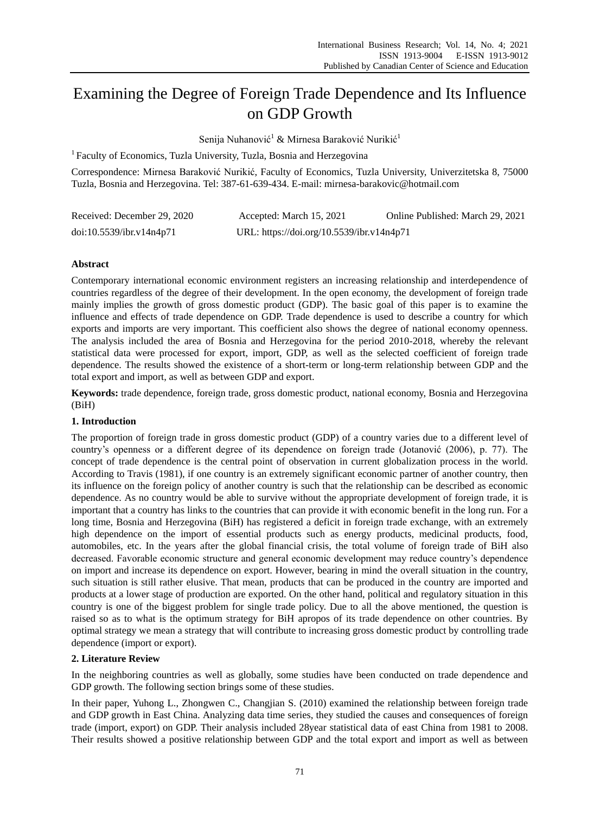# Examining the Degree of Foreign Trade Dependence and Its Influence on GDP Growth

Senija Nuhanović<sup>1</sup> & Mirnesa Baraković Nurikić<sup>1</sup>

<sup>1</sup> Faculty of Economics, Tuzla University, Tuzla, Bosnia and Herzegovina

Correspondence: Mirnesa Baraković Nurikić, Faculty of Economics, Tuzla University, Univerzitetska 8, 75000 Tuzla, Bosnia and Herzegovina. Tel: 387-61-639-434. E-mail: mirnesa-barakovic@hotmail.com

| Received: December 29, 2020 | Accepted: March 15, 2021                  | Online Published: March 29, 2021 |
|-----------------------------|-------------------------------------------|----------------------------------|
| doi:10.5539/ibr.v14n4p71    | URL: https://doi.org/10.5539/ibr.v14n4p71 |                                  |

# **Abstract**

Contemporary international economic environment registers an increasing relationship and interdependence of countries regardless of the degree of their development. In the open economy, the development of foreign trade mainly implies the growth of gross domestic product (GDP). The basic goal of this paper is to examine the influence and effects of trade dependence on GDP. Trade dependence is used to describe a country for which exports and imports are very important. This coefficient also shows the degree of national economy openness. The analysis included the area of Bosnia and Herzegovina for the period 2010-2018, whereby the relevant statistical data were processed for export, import, GDP, as well as the selected coefficient of foreign trade dependence. The results showed the existence of a short-term or long-term relationship between GDP and the total export and import, as well as between GDP and export.

**Keywords:** trade dependence, foreign trade, gross domestic product, national economy, Bosnia and Herzegovina (BiH)

# **1. Introduction**

The proportion of foreign trade in gross domestic product (GDP) of a country varies due to a different level of country's openness or a different degree of its dependence on foreign trade (Jotanović (2006), p. 77). The concept of trade dependence is the central point of observation in current globalization process in the world. According to Travis (1981), if one country is an extremely significant economic partner of another country, then its influence on the foreign policy of another country is such that the relationship can be described as economic dependence. As no country would be able to survive without the appropriate development of foreign trade, it is important that a country has links to the countries that can provide it with economic benefit in the long run. For a long time, Bosnia and Herzegovina (BiH) has registered a deficit in foreign trade exchange, with an extremely high dependence on the import of essential products such as energy products, medicinal products, food, automobiles, etc. In the years after the global financial crisis, the total volume of foreign trade of BiH also decreased. Favorable economic structure and general economic development may reduce country's dependence on import and increase its dependence on export. However, bearing in mind the overall situation in the country, such situation is still rather elusive. That mean, products that can be produced in the country are imported and products at a lower stage of production are exported. On the other hand, political and regulatory situation in this country is one of the biggest problem for single trade policy. Due to all the above mentioned, the question is raised so as to what is the optimum strategy for BiH apropos of its trade dependence on other countries. By optimal strategy we mean a strategy that will contribute to increasing gross domestic product by controlling trade dependence (import or export).

# **2. Literature Review**

In the neighboring countries as well as globally, some studies have been conducted on trade dependence and GDP growth. The following section brings some of these studies.

In their paper, Yuhong L., Zhongwen C., Changjian S. (2010) examined the relationship between foreign trade and GDP growth in East China. Analyzing data time series, they studied the causes and consequences of foreign trade (import, export) on GDP. Their analysis included 28year statistical data of east China from 1981 to 2008. Their results showed a positive relationship between GDP and the total export and import as well as between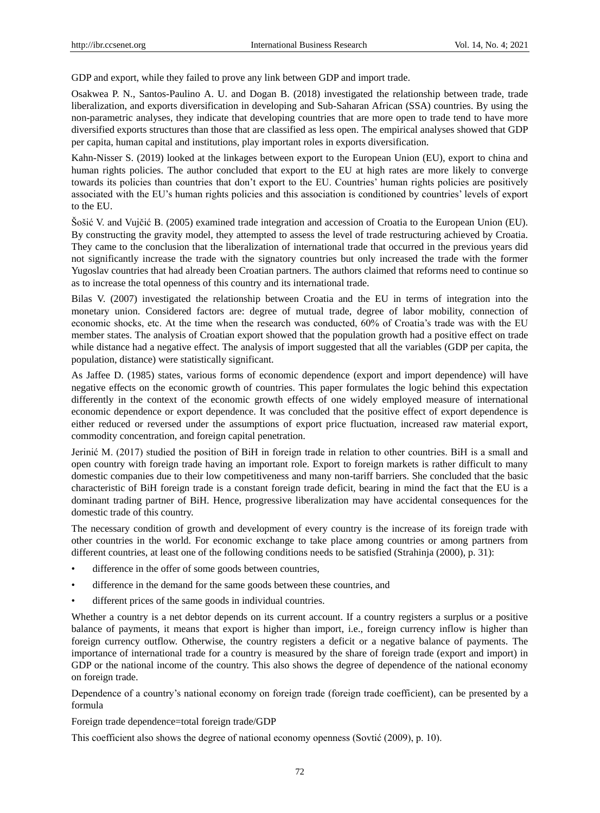GDP and export, while they failed to prove any link between GDP and import trade.

Osakwea P. N., Santos-Paulino A. U. and Dogan B. (2018) investigated the relationship between trade, trade liberalization, and exports diversification in developing and Sub-Saharan African (SSA) countries. By using the non-parametric analyses, they indicate that developing countries that are more open to trade tend to have more diversified exports structures than those that are classified as less open. The empirical analyses showed that GDP per capita, human capital and institutions, play important roles in exports diversification.

Kahn-Nisser S. (2019) looked at the linkages between export to the European Union (EU), export to china and human rights policies. The author concluded that export to the EU at high rates are more likely to converge towards its policies than countries that don't export to the EU. Countries' human rights policies are positively associated with the EU's human rights policies and this association is conditioned by countries' levels of export to the EU.

Šošić V. and Vujčić B. (2005) examined trade integration and accession of Croatia to the European Union (EU). By constructing the gravity model, they attempted to assess the level of trade restructuring achieved by Croatia. They came to the conclusion that the liberalization of international trade that occurred in the previous years did not significantly increase the trade with the signatory countries but only increased the trade with the former Yugoslav countries that had already been Croatian partners. The authors claimed that reforms need to continue so as to increase the total openness of this country and its international trade.

Bilas V. (2007) investigated the relationship between Croatia and the EU in terms of integration into the monetary union. Considered factors are: degree of mutual trade, degree of labor mobility, connection of economic shocks, etc. At the time when the research was conducted, 60% of Croatia's trade was with the EU member states. The analysis of Croatian export showed that the population growth had a positive effect on trade while distance had a negative effect. The analysis of import suggested that all the variables (GDP per capita, the population, distance) were statistically significant.

As Jaffee D. (1985) states, various forms of economic dependence (export and import dependence) will have negative effects on the economic growth of countries. This paper formulates the logic behind this expectation differently in the context of the economic growth effects of one widely employed measure of international economic dependence or export dependence. It was concluded that the positive effect of export dependence is either reduced or reversed under the assumptions of export price fluctuation, increased raw material export, commodity concentration, and foreign capital penetration.

Jerinić M. (2017) studied the position of BiH in foreign trade in relation to other countries. BiH is a small and open country with foreign trade having an important role. Export to foreign markets is rather difficult to many domestic companies due to their low competitiveness and many non-tariff barriers. She concluded that the basic characteristic of BiH foreign trade is a constant foreign trade deficit, bearing in mind the fact that the EU is a dominant trading partner of BiH. Hence, progressive liberalization may have accidental consequences for the domestic trade of this country.

The necessary condition of growth and development of every country is the increase of its foreign trade with other countries in the world. For economic exchange to take place among countries or among partners from different countries, at least one of the following conditions needs to be satisfied (Strahinja (2000), p. 31):

- difference in the offer of some goods between countries,
- difference in the demand for the same goods between these countries, and
- different prices of the same goods in individual countries.

Whether a country is a net debtor depends on its current account. If a country registers a surplus or a positive balance of payments, it means that export is higher than import, i.e., foreign currency inflow is higher than foreign currency outflow. Otherwise, the country registers a deficit or a negative balance of payments. The importance of international trade for a country is measured by the share of foreign trade (export and import) in GDP or the national income of the country. This also shows the degree of dependence of the national economy on foreign trade.

Dependence of a country's national economy on foreign trade (foreign trade coefficient), can be presented by a formula

Foreign trade dependence=total foreign trade/GDP

This coefficient also shows the degree of national economy openness (Sovtić (2009), p. 10).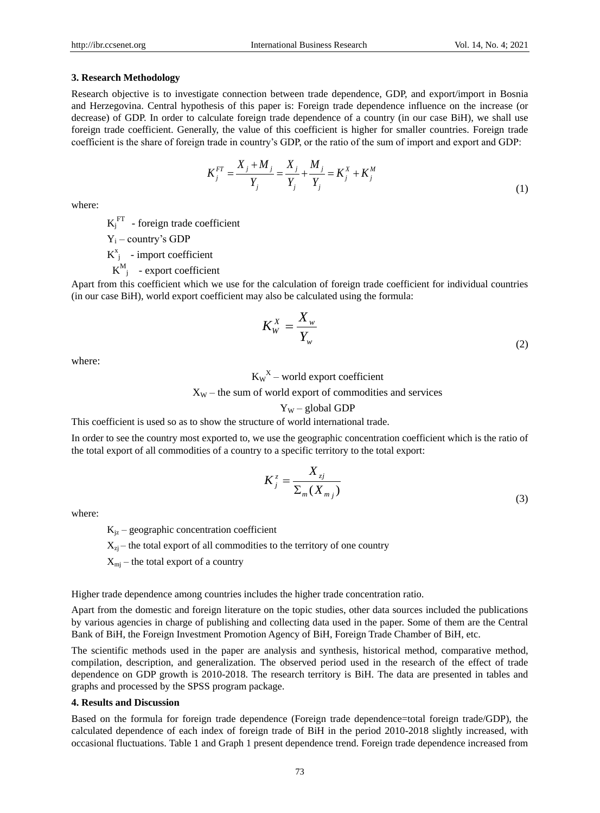### **3. Research Methodology**

Research objective is to investigate connection between trade dependence, GDP, and export/import in Bosnia and Herzegovina. Central hypothesis of this paper is: Foreign trade dependence influence on the increase (or decrease) of GDP. In order to calculate foreign trade dependence of a country (in our case BiH), we shall use foreign trade coefficient. Generally, the value of this coefficient is higher for smaller countries. Foreign trade coefficient is the share of foreign trade in country's GDP, or the ratio of the sum of import and export and GDP:

$$
K_j^{FT} = \frac{X_j + M_j}{Y_j} = \frac{X_j}{Y_j} + \frac{M_j}{Y_j} = K_j^X + K_j^M
$$
\n(1)

where:

 $K_j^{\text{FT}}$  - foreign trade coefficient

 $Y_i$  – country's GDP

 $K_{j}^{x}$  - import coefficient

 $K^M_{j}$  - export coefficient

Apart from this coefficient which we use for the calculation of foreign trade coefficient for individual countries (in our case BiH), world export coefficient may also be calculated using the formula:

$$
K_W^X = \frac{X_w}{Y_w} \tag{2}
$$

where:

 $K_W^X$  – world export coefficient

 $X_W$  – the sum of world export of commodities and services

## $Y_W$  – global GDP

This coefficient is used so as to show the structure of world international trade.

In order to see the country most exported to, we use the geographic concentration coefficient which is the ratio of the total export of all commodities of a country to a specific territory to the total export:

$$
K_j^z = \frac{X_{zj}}{\sum_m (X_{m_j})}
$$
\n(3)

where:

 $K_{iz}$  – geographic concentration coefficient

 $X_{zi}$  – the total export of all commodities to the territory of one country

 $X_{mi}$  – the total export of a country

Higher trade dependence among countries includes the higher trade concentration ratio.

Apart from the domestic and foreign literature on the topic studies, other data sources included the publications by various agencies in charge of publishing and collecting data used in the paper. Some of them are the Central Bank of BiH, the Foreign Investment Promotion Agency of BiH, Foreign Trade Chamber of BiH, etc.

The scientific methods used in the paper are analysis and synthesis, historical method, comparative method, compilation, description, and generalization. The observed period used in the research of the effect of trade dependence on GDP growth is 2010-2018. The research territory is BiH. The data are presented in tables and graphs and processed by the SPSS program package.

### **4. Results and Discussion**

Based on the formula for foreign trade dependence (Foreign trade dependence=total foreign trade/GDP), the calculated dependence of each index of foreign trade of BiH in the period 2010-2018 slightly increased, with occasional fluctuations. Table 1 and Graph 1 present dependence trend. Foreign trade dependence increased from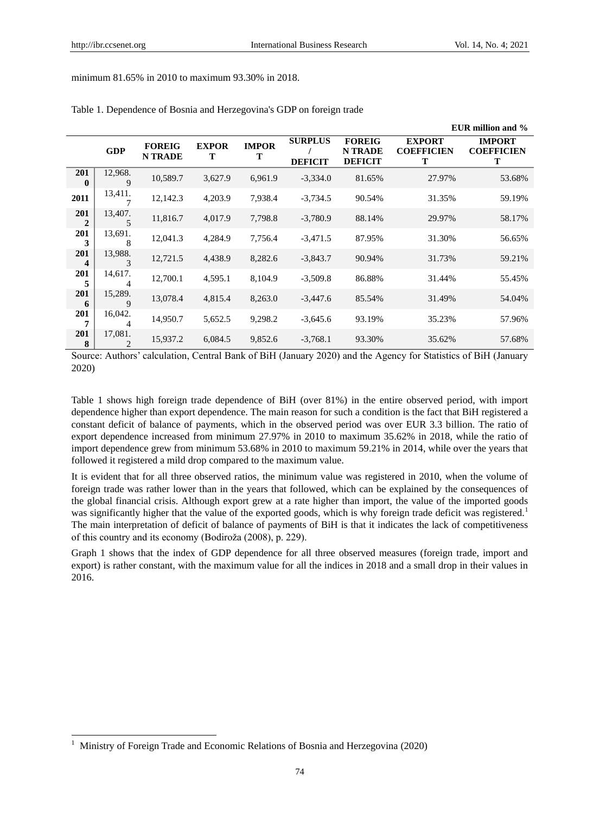-

## minimum 81.65% in 2010 to maximum 93.30% in 2018.

|                       |              |                                 |                   |                   |                                  |                                                   |                                         | EUR million and %                       |
|-----------------------|--------------|---------------------------------|-------------------|-------------------|----------------------------------|---------------------------------------------------|-----------------------------------------|-----------------------------------------|
|                       | <b>GDP</b>   | <b>FOREIG</b><br><b>N TRADE</b> | <b>EXPOR</b><br>т | <b>IMPOR</b><br>т | <b>SURPLUS</b><br><b>DEFICIT</b> | <b>FOREIG</b><br><b>N TRADE</b><br><b>DEFICIT</b> | <b>EXPORT</b><br><b>COEFFICIEN</b><br>T | <b>IMPORT</b><br><b>COEFFICIEN</b><br>T |
| 201<br>$\bf{0}$       | 12,968.<br>9 | 10,589.7                        | 3,627.9           | 6,961.9           | $-3,334.0$                       | 81.65%                                            | 27.97%                                  | 53.68%                                  |
| 2011                  | 13,411.      | 12,142.3                        | 4,203.9           | 7,938.4           | $-3,734.5$                       | 90.54%                                            | 31.35%                                  | 59.19%                                  |
| 201<br>$\overline{2}$ | 13,407.<br>5 | 11,816.7                        | 4,017.9           | 7,798.8           | $-3,780.9$                       | 88.14%                                            | 29.97%                                  | 58.17%                                  |
| 201<br>3              | 13,691.<br>8 | 12,041.3                        | 4,284.9           | 7,756.4           | $-3,471.5$                       | 87.95%                                            | 31.30%                                  | 56.65%                                  |
| 201<br>4              | 13,988.<br>3 | 12,721.5                        | 4,438.9           | 8,282.6           | $-3,843.7$                       | 90.94%                                            | 31.73%                                  | 59.21%                                  |
| 201<br>5              | 14,617.      | 12,700.1                        | 4,595.1           | 8,104.9           | $-3,509.8$                       | 86.88%                                            | 31.44%                                  | 55.45%                                  |
| 201<br>6              | 15,289.<br>9 | 13,078.4                        | 4,815.4           | 8,263.0           | $-3,447.6$                       | 85.54%                                            | 31.49%                                  | 54.04%                                  |
| 201<br>7              | 16,042.<br>4 | 14,950.7                        | 5,652.5           | 9,298.2           | $-3,645.6$                       | 93.19%                                            | 35.23%                                  | 57.96%                                  |
| <b>201</b><br>8       | 17,081.<br>2 | 15,937.2                        | 6,084.5           | 9,852.6           | $-3,768.1$                       | 93.30%                                            | 35.62%                                  | 57.68%                                  |

#### Table 1. Dependence of Bosnia and Herzegovina's GDP on foreign trade

Source: Authors' calculation, Central Bank of BiH (January 2020) and the Agency for Statistics of BiH (January 2020)

Table 1 shows high foreign trade dependence of BiH (over 81%) in the entire observed period, with import dependence higher than export dependence. The main reason for such a condition is the fact that BiH registered a constant deficit of balance of payments, which in the observed period was over EUR 3.3 billion. The ratio of export dependence increased from minimum 27.97% in 2010 to maximum 35.62% in 2018, while the ratio of import dependence grew from minimum 53.68% in 2010 to maximum 59.21% in 2014, while over the years that followed it registered a mild drop compared to the maximum value.

It is evident that for all three observed ratios, the minimum value was registered in 2010, when the volume of foreign trade was rather lower than in the years that followed, which can be explained by the consequences of the global financial crisis. Although export grew at a rate higher than import, the value of the imported goods was significantly higher that the value of the exported goods, which is why foreign trade deficit was registered.<sup>1</sup> The main interpretation of deficit of balance of payments of BiH is that it indicates the lack of competitiveness of this country and its economy (Bodiroža (2008), p. 229).

Graph 1 shows that the index of GDP dependence for all three observed measures (foreign trade, import and export) is rather constant, with the maximum value for all the indices in 2018 and a small drop in their values in 2016.

<sup>1</sup> Ministry of Foreign Trade and Economic Relations of Bosnia and Herzegovina (2020)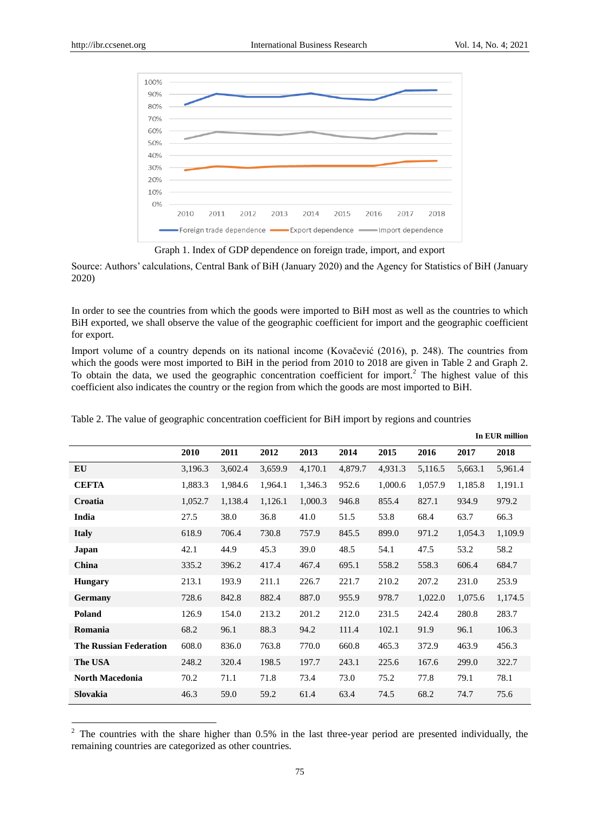-



Graph 1. Index of GDP dependence on foreign trade, import, and export

Source: Authors' calculations, Central Bank of BiH (January 2020) and the Agency for Statistics of BiH (January 2020)

In order to see the countries from which the goods were imported to BiH most as well as the countries to which BiH exported, we shall observe the value of the geographic coefficient for import and the geographic coefficient for export.

Import volume of a country depends on its national income (Kovačević (2016), p. 248). The countries from which the goods were most imported to BiH in the period from 2010 to 2018 are given in Table 2 and Graph 2. To obtain the data, we used the geographic concentration coefficient for import.<sup>2</sup> The highest value of this coefficient also indicates the country or the region from which the goods are most imported to BiH.

|                               |         |         |         |         |         |         |         |         | In EUR million |
|-------------------------------|---------|---------|---------|---------|---------|---------|---------|---------|----------------|
|                               | 2010    | 2011    | 2012    | 2013    | 2014    | 2015    | 2016    | 2017    | 2018           |
| EU                            | 3,196.3 | 3,602.4 | 3,659.9 | 4,170.1 | 4,879.7 | 4,931.3 | 5,116.5 | 5,663.1 | 5,961.4        |
| <b>CEFTA</b>                  | 1,883.3 | 1,984.6 | 1,964.1 | 1,346.3 | 952.6   | 1,000.6 | 1,057.9 | 1,185.8 | 1,191.1        |
| Croatia                       | 1,052.7 | 1,138.4 | 1,126.1 | 1,000.3 | 946.8   | 855.4   | 827.1   | 934.9   | 979.2          |
| India                         | 27.5    | 38.0    | 36.8    | 41.0    | 51.5    | 53.8    | 68.4    | 63.7    | 66.3           |
| <b>Italy</b>                  | 618.9   | 706.4   | 730.8   | 757.9   | 845.5   | 899.0   | 971.2   | 1,054.3 | 1,109.9        |
| Japan                         | 42.1    | 44.9    | 45.3    | 39.0    | 48.5    | 54.1    | 47.5    | 53.2    | 58.2           |
| China                         | 335.2   | 396.2   | 417.4   | 467.4   | 695.1   | 558.2   | 558.3   | 606.4   | 684.7          |
| <b>Hungary</b>                | 213.1   | 193.9   | 211.1   | 226.7   | 221.7   | 210.2   | 207.2   | 231.0   | 253.9          |
| Germany                       | 728.6   | 842.8   | 882.4   | 887.0   | 955.9   | 978.7   | 1,022.0 | 1,075.6 | 1,174.5        |
| Poland                        | 126.9   | 154.0   | 213.2   | 201.2   | 212.0   | 231.5   | 242.4   | 280.8   | 283.7          |
| Romania                       | 68.2    | 96.1    | 88.3    | 94.2    | 111.4   | 102.1   | 91.9    | 96.1    | 106.3          |
| <b>The Russian Federation</b> | 608.0   | 836.0   | 763.8   | 770.0   | 660.8   | 465.3   | 372.9   | 463.9   | 456.3          |
| The USA                       | 248.2   | 320.4   | 198.5   | 197.7   | 243.1   | 225.6   | 167.6   | 299.0   | 322.7          |
| <b>North Macedonia</b>        | 70.2    | 71.1    | 71.8    | 73.4    | 73.0    | 75.2    | 77.8    | 79.1    | 78.1           |
| Slovakia                      | 46.3    | 59.0    | 59.2    | 61.4    | 63.4    | 74.5    | 68.2    | 74.7    | 75.6           |

Table 2. The value of geographic concentration coefficient for BiH import by regions and countries

 $2$  The countries with the share higher than 0.5% in the last three-year period are presented individually, the remaining countries are categorized as other countries.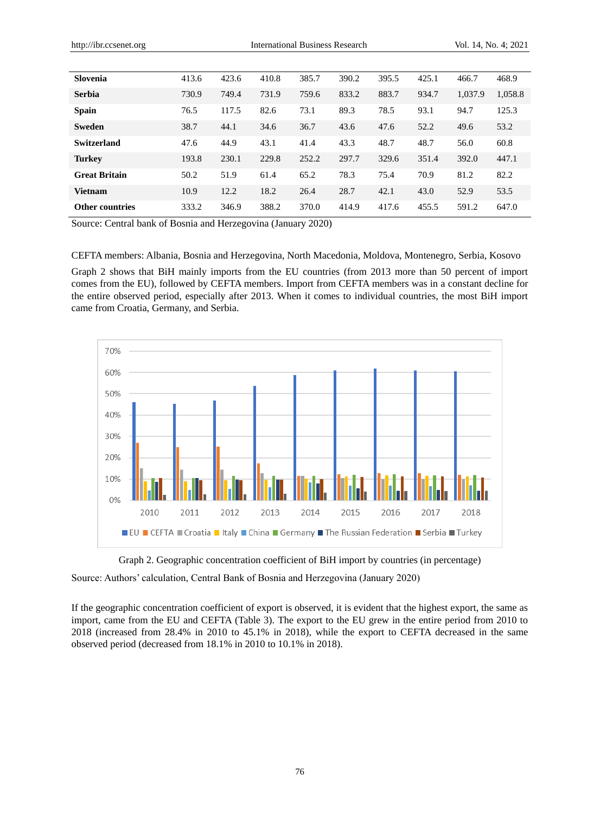| Slovenia               | 413.6 | 423.6 | 410.8 | 385.7 | 390.2 | 395.5 | 425.1 | 466.7   | 468.9   |
|------------------------|-------|-------|-------|-------|-------|-------|-------|---------|---------|
| <b>Serbia</b>          | 730.9 | 749.4 | 731.9 | 759.6 | 833.2 | 883.7 | 934.7 | 1,037.9 | 1,058.8 |
| <b>Spain</b>           | 76.5  | 117.5 | 82.6  | 73.1  | 89.3  | 78.5  | 93.1  | 94.7    | 125.3   |
| <b>Sweden</b>          | 38.7  | 44.1  | 34.6  | 36.7  | 43.6  | 47.6  | 52.2  | 49.6    | 53.2    |
| Switzerland            | 47.6  | 44.9  | 43.1  | 41.4  | 43.3  | 48.7  | 48.7  | 56.0    | 60.8    |
| <b>Turkey</b>          | 193.8 | 230.1 | 229.8 | 252.2 | 297.7 | 329.6 | 351.4 | 392.0   | 447.1   |
| <b>Great Britain</b>   | 50.2  | 51.9  | 61.4  | 65.2  | 78.3  | 75.4  | 70.9  | 81.2    | 82.2    |
| <b>Vietnam</b>         | 10.9  | 12.2  | 18.2  | 26.4  | 28.7  | 42.1  | 43.0  | 52.9    | 53.5    |
| <b>Other countries</b> | 333.2 | 346.9 | 388.2 | 370.0 | 414.9 | 417.6 | 455.5 | 591.2   | 647.0   |

Source: Central bank of Bosnia and Herzegovina (January 2020)

CEFTA members: Albania, Bosnia and Herzegovina, North Macedonia, Moldova, Montenegro, Serbia, Kosovo Graph 2 shows that BiH mainly imports from the EU countries (from 2013 more than 50 percent of import comes from the EU), followed by CEFTA members. Import from CEFTA members was in a constant decline for the entire observed period, especially after 2013. When it comes to individual countries, the most BiH import came from Croatia, Germany, and Serbia.



Graph 2. Geographic concentration coefficient of BiH import by countries (in percentage)

Source: Authors' calculation, Central Bank of Bosnia and Herzegovina (January 2020)

If the geographic concentration coefficient of export is observed, it is evident that the highest export, the same as import, came from the EU and CEFTA (Table 3). The export to the EU grew in the entire period from 2010 to 2018 (increased from 28.4% in 2010 to 45.1% in 2018), while the export to CEFTA decreased in the same observed period (decreased from 18.1% in 2010 to 10.1% in 2018).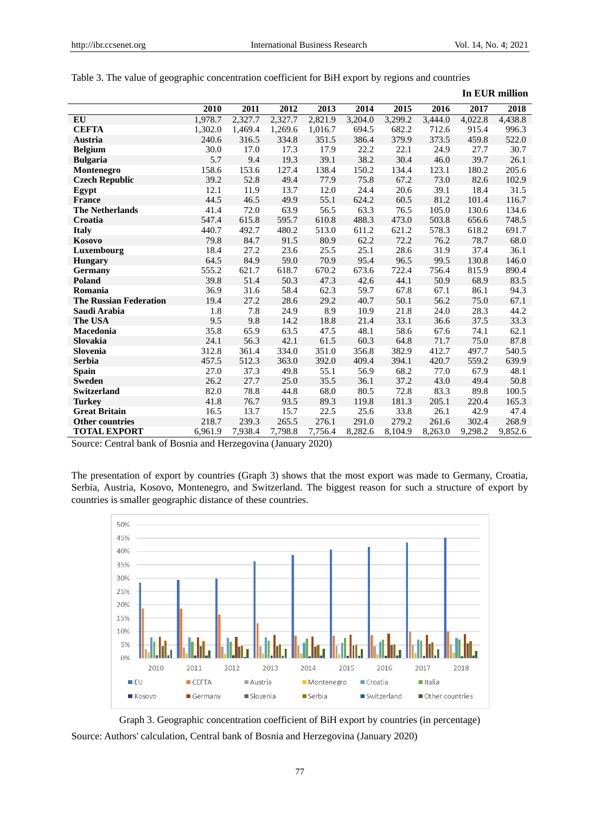|                               |         |         |         |         |         |         |         |         | In EUR million |
|-------------------------------|---------|---------|---------|---------|---------|---------|---------|---------|----------------|
|                               | 2010    | 2011    | 2012    | 2013    | 2014    | 2015    | 2016    | 2017    | 2018           |
| <b>EU</b>                     | 1,978.7 | 2,327.7 | 2,327.7 | 2,821.9 | 3,204.0 | 3,299.2 | 3,444.0 | 4,022.8 | 4,438.8        |
| <b>CEFTA</b>                  | 1,302.0 | 1,469.4 | 1,269.6 | 1,016.7 | 694.5   | 682.2   | 712.6   | 915.4   | 996.3          |
| Austria                       | 240.6   | 316.5   | 334.8   | 351.5   | 386.4   | 379.9   | 373.5   | 459.8   | 522.0          |
| <b>Belgium</b>                | 30.0    | 17.0    | 17.3    | 17.9    | 22.2    | 22.1    | 24.9    | 27.7    | 30.7           |
| <b>Bulgaria</b>               | 5.7     | 9.4     | 19.3    | 39.1    | 38.2    | 30.4    | 46.0    | 39.7    | 26.1           |
| Montenegro                    | 158.6   | 153.6   | 127.4   | 138.4   | 150.2   | 134.4   | 123.1   | 180.2   | 205.6          |
| <b>Czech Republic</b>         | 39.2    | 52.8    | 49.4    | 77.9    | 75.8    | 67.2    | 73.0    | 82.6    | 102.9          |
| Egypt                         | 12.1    | 11.9    | 13.7    | 12.0    | 24.4    | 20.6    | 39.1    | 18.4    | 31.5           |
| <b>France</b>                 | 44.5    | 46.5    | 49.9    | 55.1    | 624.2   | 60.5    | 81.2    | 101.4   | 116.7          |
| <b>The Netherlands</b>        | 41.4    | 72.0    | 63.9    | 56.5    | 63.3    | 76.5    | 105.0   | 130.6   | 134.6          |
| Croatia                       | 547.4   | 615.8   | 595.7   | 610.8   | 488.3   | 473.0   | 503.8   | 656.6   | 748.5          |
| <b>Italy</b>                  | 440.7   | 492.7   | 480.2   | 513.0   | 611.2   | 621.2   | 578.3   | 618.2   | 691.7          |
| Kosovo                        | 79.8    | 84.7    | 91.5    | 80.9    | 62.2    | 72.2    | 76.2    | 78.7    | 68.0           |
| Luxembourg                    | 18.4    | 27.2    | 23.6    | 25.5    | 25.1    | 28.6    | 31.9    | 37.4    | 36.1           |
| <b>Hungary</b>                | 64.5    | 84.9    | 59.0    | 70.9    | 95.4    | 96.5    | 99.5    | 130.8   | 146.0          |
| Germany                       | 555.2   | 621.7   | 618.7   | 670.2   | 673.6   | 722.4   | 756.4   | 815.9   | 890.4          |
| Poland                        | 39.8    | 51.4    | 50.3    | 47.3    | 42.6    | 44.1    | 50.9    | 68.9    | 83.5           |
| Romania                       | 36.9    | 31.6    | 58.4    | 62.3    | 59.7    | 67.8    | 67.1    | 86.1    | 94.3           |
| <b>The Russian Federation</b> | 19.4    | 27.2    | 28.6    | 29.2    | 40.7    | 50.1    | 56.2    | 75.0    | 67.1           |
| Saudi Arabia                  | 1.8     | 7.8     | 24.9    | 8.9     | 10.9    | 21.8    | 24.0    | 28.3    | 44.2           |
| The USA                       | 9.5     | 9.8     | 14.2    | 18.8    | 21.4    | 33.1    | 36.6    | 37.5    | 33.3           |
| Macedonia                     | 35.8    | 65.9    | 63.5    | 47.5    | 48.1    | 58.6    | 67.6    | 74.1    | 62.1           |
| Slovakia                      | 24.1    | 56.3    | 42.1    | 61.5    | 60.3    | 64.8    | 71.7    | 75.0    | 87.8           |
| Slovenia                      | 312.8   | 361.4   | 334.0   | 351.0   | 356.8   | 382.9   | 412.7   | 497.7   | 540.5          |
| <b>Serbia</b>                 | 457.5   | 512.3   | 363.0   | 392.0   | 409.4   | 394.1   | 420.7   | 559.2   | 639.9          |
| <b>Spain</b>                  | 27.0    | 37.3    | 49.8    | 55.1    | 56.9    | 68.2    | 77.0    | 67.9    | 48.1           |
| <b>Sweden</b>                 | 26.2    | 27.7    | 25.0    | 35.5    | 36.1    | 37.2    | 43.0    | 49.4    | 50.8           |
| <b>Switzerland</b>            | 82.0    | 78.8    | 44.8    | 68.0    | 80.5    | 72.8    | 83.3    | 89.8    | 100.5          |
| <b>Turkey</b>                 | 41.8    | 76.7    | 93.5    | 89.3    | 119.8   | 181.3   | 205.1   | 220.4   | 165.3          |
| <b>Great Britain</b>          | 16.5    | 13.7    | 15.7    | 22.5    | 25.6    | 33.8    | 26.1    | 42.9    | 47.4           |
| <b>Other countries</b>        | 218.7   | 239.3   | 265.5   | 276.1   | 291.0   | 279.2   | 261.6   | 302.4   | 268.9          |
| <b>TOTAL EXPORT</b>           | 6.961.9 | 7,938.4 | 7,798.8 | 7.756.4 | 8,282.6 | 8,104.9 | 8,263.0 | 9,298.2 | 9,852.6        |

|  |  | Table 3. The value of geographic concentration coefficient for BiH export by regions and countries |  |  |  |
|--|--|----------------------------------------------------------------------------------------------------|--|--|--|
|  |  |                                                                                                    |  |  |  |

Source: Central bank of Bosnia and Herzegovina (January 2020)

The presentation of export by countries (Graph 3) shows that the most export was made to Germany, Croatia, Serbia, Austria, Kosovo, Montenegro, and Switzerland. The biggest reason for such a structure of export by countries is smaller geographic distance of these countries.



Graph 3. Geographic concentration coefficient of BiH export by countries (in percentage) Source: Authors' calculation, Central bank of Bosnia and Herzegovina (January 2020)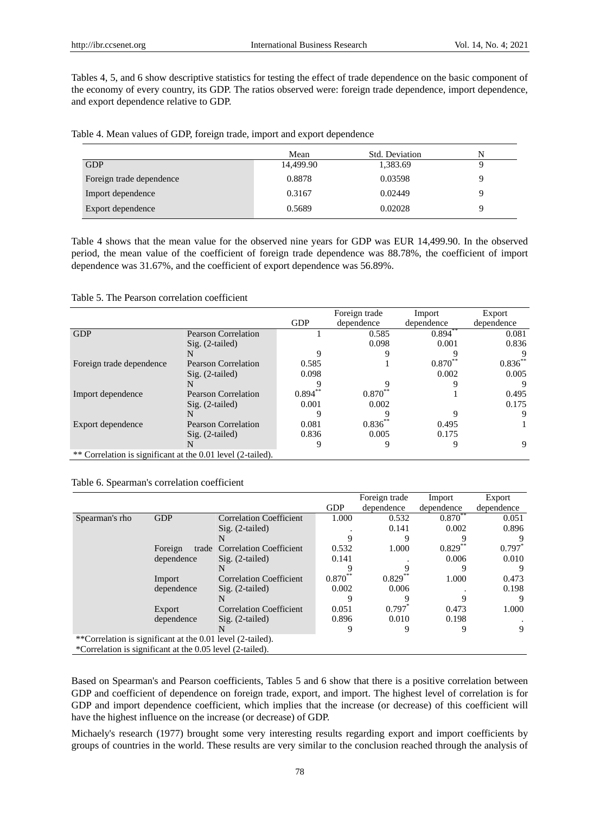Tables 4, 5, and 6 show descriptive statistics for testing the effect of trade dependence on the basic component of the economy of every country, its GDP. The ratios observed were: foreign trade dependence, import dependence, and export dependence relative to GDP.

Table 4. Mean values of GDP, foreign trade, import and export dependence

|                          | Mean      | <b>Std. Deviation</b> | N |
|--------------------------|-----------|-----------------------|---|
| <b>GDP</b>               | 14,499.90 | 1,383.69              |   |
| Foreign trade dependence | 0.8878    | 0.03598               | a |
| Import dependence        | 0.3167    | 0.02449               | Q |
| Export dependence        | 0.5689    | 0.02028               |   |

Table 4 shows that the mean value for the observed nine years for GDP was EUR 14,499.90. In the observed period, the mean value of the coefficient of foreign trade dependence was 88.78%, the coefficient of import dependence was 31.67%, and the coefficient of export dependence was 56.89%.

#### Table 5. The Pearson correlation coefficient

|                                                             |                            |            | Foreign trade      | Import      | Export     |
|-------------------------------------------------------------|----------------------------|------------|--------------------|-------------|------------|
|                                                             |                            | <b>GDP</b> | dependence         | dependence  | dependence |
| <b>GDP</b>                                                  | <b>Pearson Correlation</b> |            | 0.585              | $0.894***$  | 0.081      |
|                                                             | $Sig. (2-tailed)$          |            | 0.098              | 0.001       | 0.836      |
|                                                             | N                          |            |                    |             |            |
| Foreign trade dependence                                    | Pearson Correlation        | 0.585      |                    | $0.870^{*}$ | $0.836**$  |
|                                                             | $Sig. (2-tailed)$          | 0.098      |                    | 0.002       | 0.005      |
|                                                             | N                          |            |                    |             |            |
| Import dependence                                           | <b>Pearson Correlation</b> | $0.894***$ | $0.870^{\circ}$    |             | 0.495      |
|                                                             | $Sig. (2-tailed)$          | 0.001      | 0.002              |             | 0.175      |
|                                                             | N                          |            |                    |             |            |
| Export dependence                                           | <b>Pearson Correlation</b> | 0.081      | $0.836^{^{\circ}}$ | 0.495       |            |
|                                                             | $Sig. (2-tailed)$          | 0.836      | 0.005              | 0.175       |            |
|                                                             | N                          |            |                    |             | 9          |
| ** Correlation is significant at the 0.01 level (2-tailed). |                            |            |                    |             |            |

Table 6. Spearman's correlation coefficient

|                                                            |            |                                |            | Foreign trade      | Import      | Export     |
|------------------------------------------------------------|------------|--------------------------------|------------|--------------------|-------------|------------|
|                                                            |            |                                | <b>GDP</b> | dependence         | dependence  | dependence |
| Spearman's rho                                             | <b>GDP</b> | <b>Correlation Coefficient</b> | 1.000      | 0.532              | $0.870^{*}$ | 0.051      |
|                                                            |            | $Sig. (2-tailed)$              |            | 0.141              | 0.002       | 0.896      |
|                                                            |            | N                              |            |                    |             |            |
|                                                            | Foreign    | trade Correlation Coefficient  | 0.532      | 1.000              | $0.829^{*}$ | 0.797      |
|                                                            | dependence | $Sig. (2-tailed)$              | 0.141      |                    | 0.006       | 0.010      |
|                                                            |            | N                              |            |                    | 9           |            |
|                                                            | Import     | <b>Correlation Coefficient</b> | $0.870**$  | $0.829^{^{\circ}}$ | 1.000       | 0.473      |
|                                                            | dependence | $Sig. (2-tailed)$              | 0.002      | 0.006              |             | 0.198      |
|                                                            |            | N                              |            |                    |             | 9          |
|                                                            | Export     | <b>Correlation Coefficient</b> | 0.051      | 0.797              | 0.473       | 1.000      |
|                                                            | dependence | $Sig. (2-tailed)$              | 0.896      | 0.010              | 0.198       |            |
|                                                            |            | N                              | 9          |                    | 9           | 9          |
| **Correlation is significant at the 0.01 level (2-tailed). |            |                                |            |                    |             |            |
| *Correlation is significant at the 0.05 level (2-tailed).  |            |                                |            |                    |             |            |

Based on Spearman's and Pearson coefficients, Tables 5 and 6 show that there is a positive correlation between GDP and coefficient of dependence on foreign trade, export, and import. The highest level of correlation is for GDP and import dependence coefficient, which implies that the increase (or decrease) of this coefficient will have the highest influence on the increase (or decrease) of GDP.

Michaely's research (1977) brought some very interesting results regarding export and import coefficients by groups of countries in the world. These results are very similar to the conclusion reached through the analysis of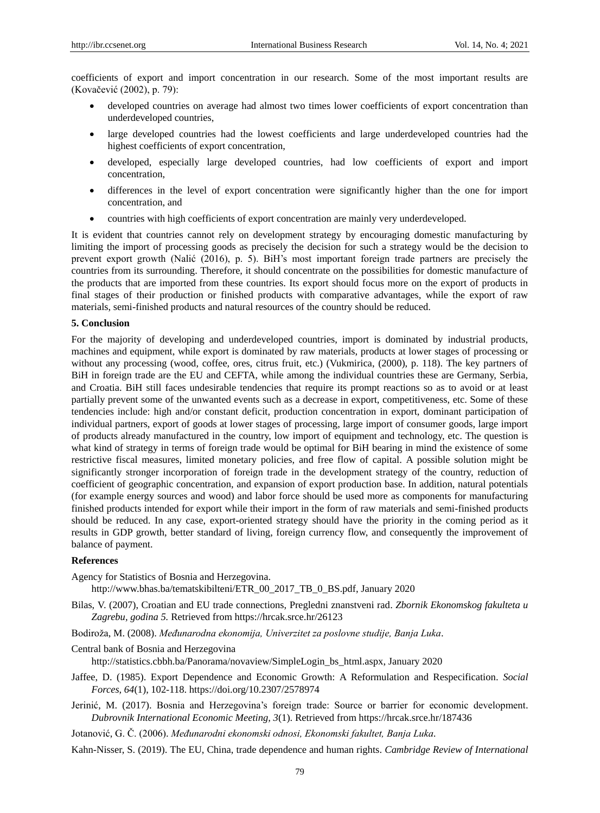coefficients of export and import concentration in our research. Some of the most important results are (Kovačević (2002), p. 79):

- developed countries on average had almost two times lower coefficients of export concentration than underdeveloped countries,
- large developed countries had the lowest coefficients and large underdeveloped countries had the highest coefficients of export concentration,
- developed, especially large developed countries, had low coefficients of export and import concentration,
- differences in the level of export concentration were significantly higher than the one for import concentration, and
- countries with high coefficients of export concentration are mainly very underdeveloped.

It is evident that countries cannot rely on development strategy by encouraging domestic manufacturing by limiting the import of processing goods as precisely the decision for such a strategy would be the decision to prevent export growth (Nalić (2016), p. 5). BiH's most important foreign trade partners are precisely the countries from its surrounding. Therefore, it should concentrate on the possibilities for domestic manufacture of the products that are imported from these countries. Its export should focus more on the export of products in final stages of their production or finished products with comparative advantages, while the export of raw materials, semi-finished products and natural resources of the country should be reduced.

#### **5. Conclusion**

For the majority of developing and underdeveloped countries, import is dominated by industrial products, machines and equipment, while export is dominated by raw materials, products at lower stages of processing or without any processing (wood, coffee, ores, citrus fruit, etc.) (Vukmirica, (2000), p. 118). The key partners of BiH in foreign trade are the EU and CEFTA, while among the individual countries these are Germany, Serbia, and Croatia. BiH still faces undesirable tendencies that require its prompt reactions so as to avoid or at least partially prevent some of the unwanted events such as a decrease in export, competitiveness, etc. Some of these tendencies include: high and/or constant deficit, production concentration in export, dominant participation of individual partners, export of goods at lower stages of processing, large import of consumer goods, large import of products already manufactured in the country, low import of equipment and technology, etc. The question is what kind of strategy in terms of foreign trade would be optimal for BiH bearing in mind the existence of some restrictive fiscal measures, limited monetary policies, and free flow of capital. A possible solution might be significantly stronger incorporation of foreign trade in the development strategy of the country, reduction of coefficient of geographic concentration, and expansion of export production base. In addition, natural potentials (for example energy sources and wood) and labor force should be used more as components for manufacturing finished products intended for export while their import in the form of raw materials and semi-finished products should be reduced. In any case, export-oriented strategy should have the priority in the coming period as it results in GDP growth, better standard of living, foreign currency flow, and consequently the improvement of balance of payment.

# **References**

Agency for Statistics of Bosnia and Herzegovina.

[http://www.bhas.ba/tematskibilteni/ETR\\_00\\_2017\\_TB\\_0\\_BS.pdf,](http://www.bhas.ba/tematskibilteni/ETR_00_2017_TB_0_BS.pdf) January 2020

- Bilas, V. (2007), Croatian and EU trade connections, Pregledni znanstveni rad. *Zbornik Ekonomskog fakulteta u Zagrebu, godina 5.* Retrieved from<https://hrcak.srce.hr/26123>
- Bodiroža, M. (2008). *MeĎunarodna ekonomija, Univerzitet za poslovne studije, Banja Luka*.

#### Central bank of Bosnia and Herzegovina

[http://statistics.cbbh.ba/Panorama/novaview/SimpleLogin\\_bs\\_html.aspx,](http://statistics.cbbh.ba/Panorama/novaview/SimpleLogin_bs_html.aspx) January 2020

- Jaffee, D. (1985). Export Dependence and Economic Growth: A Reformulation and Respecification. *Social Forces, 64*(1), 102-118. https://doi.org/10.2307/2578974
- Jerinić, M. (2017). Bosnia and Herzegovina's foreign trade: Source or barrier for economic development. *Dubrovnik International Economic Meeting, 3*(1). Retrieved from<https://hrcak.srce.hr/187436>

Jotanović, G. Č. (2006). *MeĎunarodni ekonomski odnosi, Ekonomski fakultet, Banja Luka.*

Kahn-Nisser, S. (2019). The EU, China, trade dependence and human rights. *Cambridge Review of International*